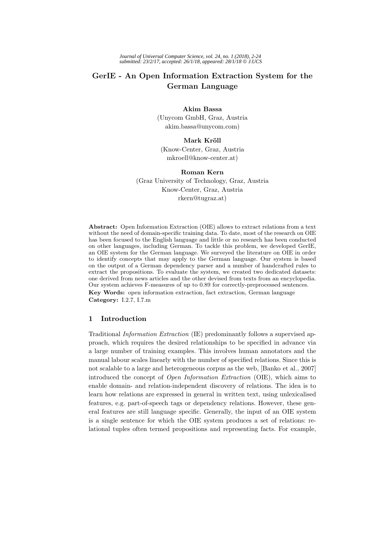# **GerIE - An Open Information Extraction System for the German Language**

# **Akim Bassa**

(Unycom GmbH, Graz, Austria akim.bassa@unycom.com)

# **Mark Kröll**

(Know-Center, Graz, Austria mkroell@know-center.at)

# **Roman Kern**

(Graz University of Technology, Graz, Austria Know-Center, Graz, Austria rkern@tugraz.at)

**Abstract:** Open Information Extraction (OIE) allows to extract relations from a text without the need of domain-specific training data. To date, most of the research on OIE has been focused to the English language and little or no research has been conducted on other languages, including German. To tackle this problem, we developed GerIE, an OIE system for the German language. We surveyed the literature on OIE in order to identify concepts that may apply to the German language. Our system is based on the output of a German dependency parser and a number of handcrafted rules to extract the propositions. To evaluate the system, we created two dedicated datasets: one derived from news articles and the other devised from texts from an encyclopedia. Our system achieves F-measures of up to 0.89 for correctly-preprocessed sentences. **Key Words:** open information extraction, fact extraction, German language **Category:** I.2.7, I.7.m

# **1 Introduction**

Traditional Information Extraction (IE) predominantly follows a supervised approach, which requires the desired relationships to be specified in advance via a large number of training examples. This involves human annotators and the manual labour scales linearly with the number of specified relations. Since this is not scalable to a large and heterogeneous corpus as the web, [Banko et al., 2007] introduced the concept of Open Information Extraction (OIE), which aims to enable domain- and relation-independent discovery of relations. The idea is to learn how relations are expressed in general in written text, using unlexicalised features, e.g. part-of-speech tags or dependency relations. However, these general features are still language specific. Generally, the input of an OIE system is a single sentence for which the OIE system produces a set of relations: relational tuples often termed propositions and representing facts. For example,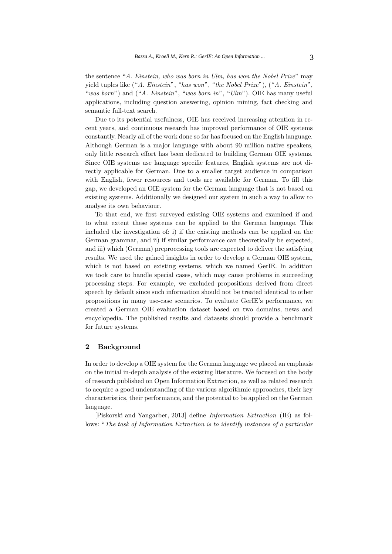the sentence "A. Einstein, who was born in Ulm, has won the Nobel Prize" may yield tuples like ("A. Einstein", "has won", "the Nobel Prize"), ("A. Einstein", "was born") and ("A. Einstein", "was born in", "Ulm"). OIE has many useful applications, including question answering, opinion mining, fact checking and semantic full-text search.

Due to its potential usefulness, OIE has received increasing attention in recent years, and continuous research has improved performance of OIE systems constantly. Nearly all of the work done so far has focused on the English language. Although German is a major language with about 90 million native speakers, only little research effort has been dedicated to building German OIE systems. Since OIE systems use language specific features, English systems are not directly applicable for German. Due to a smaller target audience in comparison with English, fewer resources and tools are available for German. To fill this gap, we developed an OIE system for the German language that is not based on existing systems. Additionally we designed our system in such a way to allow to analyse its own behaviour.

To that end, we first surveyed existing OIE systems and examined if and to what extent these systems can be applied to the German language. This included the investigation of: i) if the existing methods can be applied on the German grammar, and ii) if similar performance can theoretically be expected, and iii) which (German) preprocessing tools are expected to deliver the satisfying results. We used the gained insights in order to develop a German OIE system, which is not based on existing systems, which we named GerIE. In addition we took care to handle special cases, which may cause problems in succeeding processing steps. For example, we excluded propositions derived from direct speech by default since such information should not be treated identical to other propositions in many use-case scenarios. To evaluate GerIE's performance, we created a German OIE evaluation dataset based on two domains, news and encyclopedia. The published results and datasets should provide a benchmark for future systems.

#### **2 Background**

In order to develop a OIE system for the German language we placed an emphasis on the initial in-depth analysis of the existing literature. We focused on the body of research published on Open Information Extraction, as well as related research to acquire a good understanding of the various algorithmic approaches, their key characteristics, their performance, and the potential to be applied on the German language.

[Piskorski and Yangarber, 2013] define Information Extraction (IE) as follows: "The task of Information Extraction is to identify instances of a particular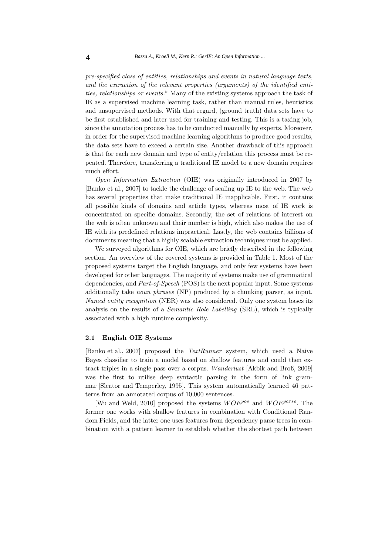pre-specified class of entities, relationships and events in natural language texts, and the extraction of the relevant properties (arguments) of the identified entities, relationships or events." Many of the existing systems approach the task of IE as a supervised machine learning task, rather than manual rules, heuristics and unsupervised methods. With that regard, (ground truth) data sets have to be first established and later used for training and testing. This is a taxing job, since the annotation process has to be conducted manually by experts. Moreover, in order for the supervised machine learning algorithms to produce good results, the data sets have to exceed a certain size. Another drawback of this approach is that for each new domain and type of entity/relation this process must be repeated. Therefore, transferring a traditional IE model to a new domain requires much effort.

Open Information Extraction (OIE) was originally introduced in 2007 by [Banko et al., 2007] to tackle the challenge of scaling up IE to the web. The web has several properties that make traditional IE inapplicable. First, it contains all possible kinds of domains and article types, whereas most of IE work is concentrated on specific domains. Secondly, the set of relations of interest on the web is often unknown and their number is high, which also makes the use of IE with its predefined relations impractical. Lastly, the web contains billions of documents meaning that a highly scalable extraction techniques must be applied.

We surveyed algorithms for OIE, which are briefly described in the following section. An overview of the covered systems is provided in Table 1. Most of the proposed systems target the English language, and only few systems have been developed for other languages. The majority of systems make use of grammatical dependencies, and Part-of-Speech (POS) is the next popular input. Some systems additionally take noun phrases (NP) produced by a chunking parser, as input. Named entity recognition (NER) was also considered. Only one system bases its analysis on the results of a Semantic Role Labelling (SRL), which is typically associated with a high runtime complexity.

# **2.1 English OIE Systems**

[Banko et al., 2007] proposed the TextRunner system, which used a Naive Bayes classifier to train a model based on shallow features and could then extract triples in a single pass over a corpus. Wanderlust [Akbik and Broß, 2009] was the first to utilise deep syntactic parsing in the form of link grammar [Sleator and Temperley, 1995]. This system automatically learned 46 patterns from an annotated corpus of 10,000 sentences.

[Wu and Weld, 2010] proposed the systems  $WOE^{pos}$  and  $WOE^{parse}$ . The former one works with shallow features in combination with Conditional Random Fields, and the latter one uses features from dependency parse trees in combination with a pattern learner to establish whether the shortest path between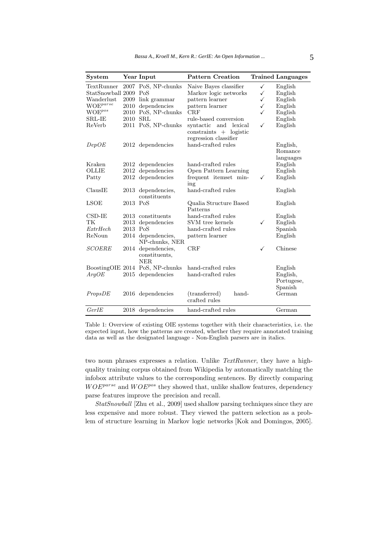| <b>System</b>         |          | Year Input                                        | <b>Pattern Creation</b>                                                       |              | <b>Trained Languages</b> |
|-----------------------|----------|---------------------------------------------------|-------------------------------------------------------------------------------|--------------|--------------------------|
| TextRunner            |          | 2007 PoS, NP-chunks                               | Naive Bayes classifier                                                        | $\checkmark$ | English                  |
| StatSnowball 2009 PoS |          |                                                   | Markov logic networks                                                         | ✓            | English                  |
| Wanderlust            | 2009     | link grammar                                      | pattern learner                                                               | ✓            | English                  |
| $WOE^{parse}$         | 2010     | dependencies                                      | pattern learner                                                               | $\checkmark$ | English                  |
| $WOE^{pos}$           | 2010     | PoS, NP-chunks                                    | CRF                                                                           | ✓            | English                  |
| SRL-IE                | 2010     | SRL                                               | rule-based conversion                                                         |              | English                  |
| ReVerb                |          | 2011 PoS, NP-chunks                               | syntactic and<br>lexical<br>$constraints + logistic$<br>regression classifier | ✓            | English                  |
| DepOE                 |          | 2012 dependencies                                 | hand-crafted rules                                                            |              | English,                 |
|                       |          |                                                   |                                                                               |              | Romance                  |
|                       |          |                                                   |                                                                               |              | languages                |
| Kraken                |          | 2012 dependencies                                 | hand-crafted rules                                                            |              | English                  |
| OLLIE                 |          | 2012 dependencies                                 | Open Pattern Learning                                                         |              | English                  |
| Patty                 |          | 2012 dependencies                                 | frequent itemset min-<br>ing                                                  | ✓            | English                  |
| ClausIE               |          | 2013 dependencies,                                | hand-crafted rules                                                            |              | English                  |
|                       |          | constituents                                      |                                                                               |              |                          |
| <b>LSOE</b>           | 2013 PoS |                                                   | Qualia Structure Based<br>Patterns                                            |              | English                  |
| CSD-IE                | 2013     | constituents                                      | hand-crafted rules                                                            |              | English                  |
| TК                    | 2013     | dependencies                                      | SVM tree kernels                                                              | ✓            | English                  |
| ExtrHech              | 2013 PoS |                                                   | hand-crafted rules                                                            |              | Spanish                  |
| ReNoun                |          | 2014 dependencies,<br>NP-chunks, NER              | pattern learner                                                               |              | English                  |
| <b>SCOERE</b>         |          | 2014 dependencies,<br>constituents,<br><b>NER</b> | $_{\rm CRF}$                                                                  | ✓            | Chinese                  |
|                       |          | BoostingOIE 2014 PoS, NP-chunks                   | hand-crafted rules                                                            |              | English                  |
| ArgOE                 |          | 2015 dependencies                                 | hand-crafted rules                                                            |              | English,                 |
|                       |          |                                                   |                                                                               |              | Portugese,               |
|                       |          |                                                   |                                                                               |              | Spanish                  |
| PropsDE               |          | 2016 dependencies                                 | (transferred)<br>hand-<br>crafted rules                                       |              | German                   |
| GerIE                 |          | 2018 dependencies                                 | hand-crafted rules                                                            |              | German                   |

Table 1: Overview of existing OIE systems together with their characteristics, i.e. the expected input, how the patterns are created, whether they require annotated training data as well as the designated language - Non-English parsers are in italics.

two noun phrases expresses a relation. Unlike TextRunner, they have a highquality training corpus obtained from Wikipedia by automatically matching the infobox attribute values to the corresponding sentences. By directly comparing  $WOE^{parse}$  and  $WOE^{pos}$  they showed that, unlike shallow features, dependency parse features improve the precision and recall.

StatSnowball [Zhu et al., 2009] used shallow parsing techniques since they are less expensive and more robust. They viewed the pattern selection as a problem of structure learning in Markov logic networks [Kok and Domingos, 2005].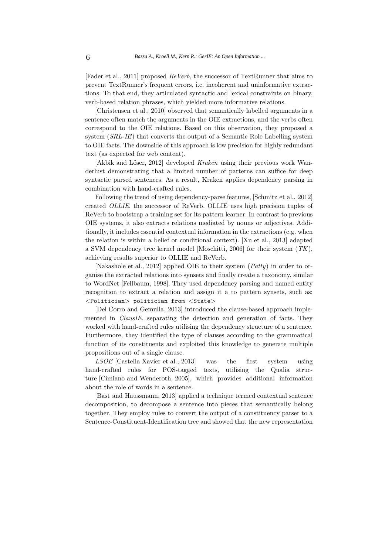[Fader et al., 2011] proposed ReVerb, the successor of TextRunner that aims to prevent TextRunner's frequent errors, i.e. incoherent and uninformative extractions. To that end, they articulated syntactic and lexical constraints on binary, verb-based relation phrases, which yielded more informative relations.

[Christensen et al., 2010] observed that semantically labelled arguments in a sentence often match the arguments in the OIE extractions, and the verbs often correspond to the OIE relations. Based on this observation, they proposed a system (SRL-IE) that converts the output of a Semantic Role Labelling system to OIE facts. The downside of this approach is low precision for highly redundant text (as expected for web content).

[Akbik and Löser, 2012] developed Kraken using their previous work Wanderlust demonstrating that a limited number of patterns can suffice for deep syntactic parsed sentences. As a result, Kraken applies dependency parsing in combination with hand-crafted rules.

Following the trend of using dependency-parse features, [Schmitz et al., 2012] created OLLIE, the successor of ReVerb. OLLIE uses high precision tuples of ReVerb to bootstrap a training set for its pattern learner. In contrast to previous OIE systems, it also extracts relations mediated by nouns or adjectives. Additionally, it includes essential contextual information in the extractions (e.g. when the relation is within a belief or conditional context). [Xu et al., 2013] adapted a SVM dependency tree kernel model [Moschitti, 2006] for their system  $(TK)$ , achieving results superior to OLLIE and ReVerb.

[Nakashole et al., 2012] applied OIE to their system (Patty) in order to organise the extracted relations into synsets and finally create a taxonomy, similar to WordNet [Fellbaum, 1998]. They used dependency parsing and named entity recognition to extract a relation and assign it a to pattern synsets, such as: <Politician> politician from <State>

[Del Corro and Gemulla, 2013] introduced the clause-based approach implemented in ClausIE, separating the detection and generation of facts. They worked with hand-crafted rules utilising the dependency structure of a sentence. Furthermore, they identified the type of clauses according to the grammatical function of its constituents and exploited this knowledge to generate multiple propositions out of a single clause.

LSOE [Castella Xavier et al., 2013] was the first system using hand-crafted rules for POS-tagged texts, utilising the Qualia structure [Cimiano and Wenderoth, 2005], which provides additional information about the role of words in a sentence.

[Bast and Haussmann, 2013] applied a technique termed contextual sentence decomposition, to decompose a sentence into pieces that semantically belong together. They employ rules to convert the output of a constituency parser to a Sentence-Constituent-Identification tree and showed that the new representation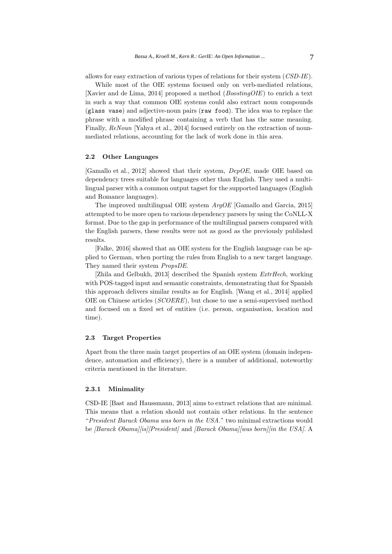allows for easy extraction of various types of relations for their system (CSD-IE).

While most of the OIE systems focused only on verb-mediated relations. [Xavier and de Lima, 2014] proposed a method (BoostingOIE) to enrich a text in such a way that common OIE systems could also extract noun compounds (glass vase) and adjective-noun pairs (raw food). The idea was to replace the phrase with a modified phrase containing a verb that has the same meaning. Finally, ReNoun [Yahya et al., 2014] focused entirely on the extraction of nounmediated relations, accounting for the lack of work done in this area.

# **2.2 Other Languages**

[Gamallo et al., 2012] showed that their system, DepOE, made OIE based on dependency trees suitable for languages other than English. They used a multilingual parser with a common output tagset for the supported languages (English and Romance languages).

The improved multilingual OIE system ArgOE [Gamallo and Garcia, 2015] attempted to be more open to various dependency parsers by using the CoNLL-X format. Due to the gap in performance of the multilingual parsers compared with the English parsers, these results were not as good as the previously published results.

[Falke, 2016] showed that an OIE system for the English language can be applied to German, when porting the rules from English to a new target language. They named their system PropsDE.

[Zhila and Gelbukh, 2013] described the Spanish system  $ExtrHech$ , working with POS-tagged input and semantic constraints, demonstrating that for Spanish this approach delivers similar results as for English. [Wang et al., 2014] applied OIE on Chinese articles (SCOERE), but chose to use a semi-supervised method and focused on a fixed set of entities (i.e. person, organisation, location and time).

# **2.3 Target Properties**

Apart from the three main target properties of an OIE system (domain independence, automation and efficiency), there is a number of additional, noteworthy criteria mentioned in the literature.

#### **2.3.1 Minimality**

CSD-IE [Bast and Haussmann, 2013] aims to extract relations that are minimal. This means that a relation should not contain other relations. In the sentence "President Barack Obama was born in the USA." two minimal extractions would be [Barack Obama][is][President] and [Barack Obama][was born][in the USA]. A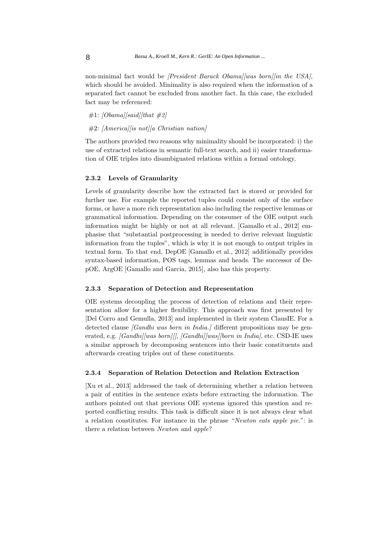non-minimal fact would be *[President Barack Obama][was born][in the USA]*, which should be avoided. Minimality is also required when the information of a separated fact cannot be excluded from another fact. In this case, the excluded fact may be referenced:

 $\#1: [Obama][said]/that \#2]$ 

 $#2: [America]/is not][a$  Christian nation

The authors provided two reasons why minimality should be incorporated: i) the use of extracted relations in semantic full-text search, and ii) easier transformation of OIE triples into disambiguated relations within a formal ontology.

#### **2.3.2 Levels of Granularity**

Levels of granularity describe how the extracted fact is stored or provided for further use. For example the reported tuples could consist only of the surface forms, or have a more rich representation also including the respective lemmas or grammatical information. Depending on the consumer of the OIE output such information might be highly or not at all relevant. [Gamallo et al., 2012] emphasise that "substantial postprocessing is needed to derive relevant linguistic information from the tuples", which is why it is not enough to output triples in textual form. To that end, DepOE [Gamallo et al., 2012] additionally provides syntax-based information, POS tags, lemmas and heads. The successor of DepOE, ArgOE [Gamallo and Garcia, 2015], also has this property.

# **2.3.3 Separation of Detection and Representation**

OIE systems decoupling the process of detection of relations and their representation allow for a higher flexibility. This approach was first presented by [Del Corro and Gemulla, 2013] and implemented in their system ClausIE. For a detected clause *[Gandhi was born in India.]* different propositions may be generated, e.g. [Gandhi][was born][], [Gandhi][was][born in India], etc. CSD-IE uses a similar approach by decomposing sentences into their basic constituents and afterwards creating triples out of these constituents.

#### **2.3.4 Separation of Relation Detection and Relation Extraction**

[Xu et al., 2013] addressed the task of determining whether a relation between a pair of entities in the sentence exists before extracting the information. The authors pointed out that previous OIE systems ignored this question and reported conflicting results. This task is difficult since it is not always clear what a relation constitutes. For instance in the phrase "Newton eats apple pie.": is there a relation between Newton and apple?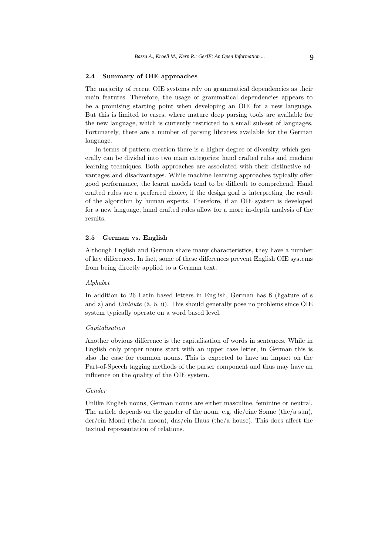# **2.4 Summary of OIE approaches**

The majority of recent OIE systems rely on grammatical dependencies as their main features. Therefore, the usage of grammatical dependencies appears to be a promising starting point when developing an OIE for a new language. But this is limited to cases, where mature deep parsing tools are available for the new language, which is currently restricted to a small sub-set of languages. Fortunately, there are a number of parsing libraries available for the German language.

In terms of pattern creation there is a higher degree of diversity, which generally can be divided into two main categories: hand crafted rules and machine learning techniques. Both approaches are associated with their distinctive advantages and disadvantages. While machine learning approaches typically offer good performance, the learnt models tend to be difficult to comprehend. Hand crafted rules are a preferred choice, if the design goal is interpreting the result of the algorithm by human experts. Therefore, if an OIE system is developed for a new language, hand crafted rules allow for a more in-depth analysis of the results.

### **2.5 German vs. English**

Although English and German share many characteristics, they have a number of key differences. In fact, some of these differences prevent English OIE systems from being directly applied to a German text.

#### Alphabet

In addition to 26 Latin based letters in English, German has ß (ligature of s and z) and Umlaute ( $\ddot{a}$ ,  $\ddot{o}$ ,  $\ddot{u}$ ). This should generally pose no problems since OIE system typically operate on a word based level.

# Capitalisation

Another obvious difference is the capitalisation of words in sentences. While in English only proper nouns start with an upper case letter, in German this is also the case for common nouns. This is expected to have an impact on the Part-of-Speech tagging methods of the parser component and thus may have an influence on the quality of the OIE system.

# Gender

Unlike English nouns, German nouns are either masculine, feminine or neutral. The article depends on the gender of the noun, e.g. die/eine Sonne (the/a sun), der/ein Mond (the/a moon), das/ein Haus (the/a house). This does affect the textual representation of relations.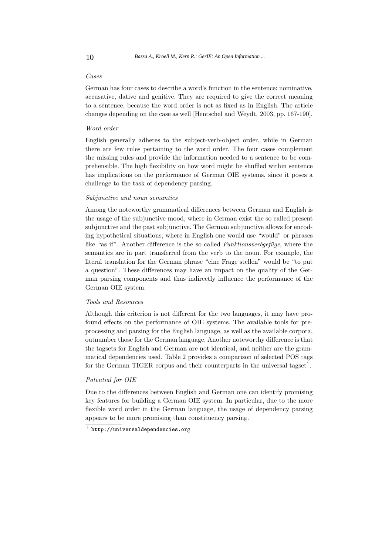# Cases

German has four cases to describe a word's function in the sentence: nominative, accusative, dative and genitive. They are required to give the correct meaning to a sentence, because the word order is not as fixed as in English. The article changes depending on the case as well [Hentschel and Weydt, 2003, pp. 167-190].

# Word order

English generally adheres to the subject-verb-object order, while in German there are few rules pertaining to the word order. The four cases complement the missing rules and provide the information needed to a sentence to be comprehensible. The high flexibility on how word might be shuffled within sentence has implications on the performance of German OIE systems, since it poses a challenge to the task of dependency parsing.

# Subjunctive and noun semantics

Among the noteworthy grammatical differences between German and English is the usage of the subjunctive mood, where in German exist the so called present subjunctive and the past subjunctive. The German subjunctive allows for encoding hypothetical situations, where in English one would use "would" or phrases like "as if". Another difference is the so called Funktionsverbgefüge, where the semantics are in part transferred from the verb to the noun. For example, the literal translation for the German phrase "eine Frage stellen" would be "to put a question". These differences may have an impact on the quality of the German parsing components and thus indirectly influence the performance of the German OIE system.

#### Tools and Resources

Although this criterion is not different for the two languages, it may have profound effects on the performance of OIE systems. The available tools for preprocessing and parsing for the English language, as well as the available corpora, outnumber those for the German language. Another noteworthy difference is that the tagsets for English and German are not identical, and neither are the grammatical dependencies used. Table 2 provides a comparison of selected POS tags for the German TIGER corpus and their counterparts in the universal tagset<sup>1</sup>.

#### Potential for OIE

Due to the differences between English and German one can identify promising key features for building a German OIE system. In particular, due to the more flexible word order in the German language, the usage of dependency parsing appears to be more promising than constituency parsing.

 $1$  http://universaldependencies.org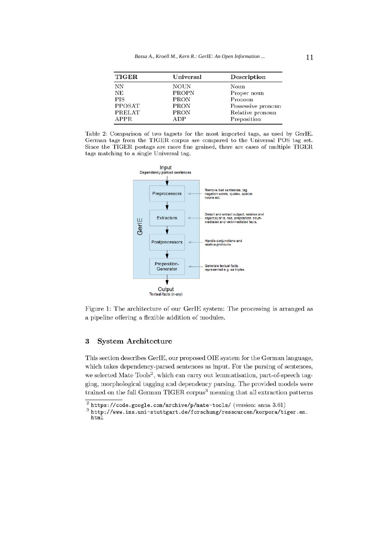| <b>TIGER</b>  | Universal    | Description        |
|---------------|--------------|--------------------|
| NN            | <b>NOUN</b>  | Noun               |
| <b>NE</b>     | <b>PROPN</b> | Proper noun        |
| <b>PIS</b>    | <b>PRON</b>  | Pronoun            |
| <b>PPOSAT</b> | PRON         | Possessive pronoun |
| <b>PRELAT</b> | <b>PRON</b>  | Relative pronoun   |
| <b>APPR</b>   | ADP          | Preposition        |





Figure 1: The architecture of our GerIE system: The processing is arranged as a pipeline offering a flexible addition of modules.

#### **System Architecture**  $\boldsymbol{3}$

This section describes GerIE, our proposed OIE system for the German language, which takes dependency-parsed sentences as input. For the parsing of sentences, we selected Mate Tools<sup>2</sup>, which can carry out lemmatisation, part-of-speech tagging, morphological tagging and dependency parsing. The provided models were trained on the full German TIGER corpus<sup>3</sup> meaning that all extraction patterns

 $2$  https://code.google.com/archive/p/mate-tools/ (version: anna 3.61)

 $\noindent \begin{minipage}{0.9\linewidth} 3 <http://www.ims.uni-stuttgart.de/forschung/ressourcen/korpora/tiger_en>. \end{minipage}$ html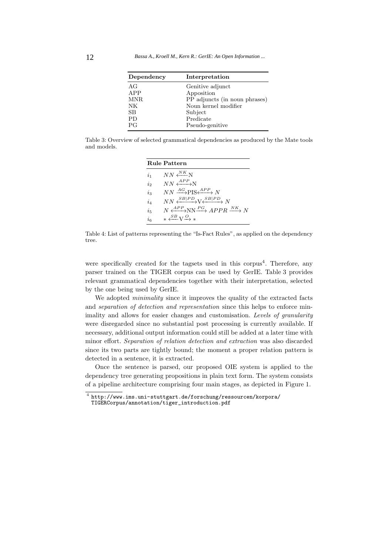| Dependency  | Interpretation                |
|-------------|-------------------------------|
| АG          | Genitive adjunct              |
| APP         | Apposition                    |
| MNR         | PP adjuncts (in noun phrases) |
| NΚ          | Noun kernel modifier          |
| $_{\rm SB}$ | Subject                       |
| PD          | Predicate                     |
| РG          | Pseudo-genitive               |

Table 3: Overview of selected grammatical dependencies as produced by the Mate tools and models.

|           | <b>Rule Pattern</b>                                               |
|-----------|-------------------------------------------------------------------|
| $i_{1}$   | $NN \stackrel{NK}{\longleftarrow} N$                              |
| $\dot{i}$ | $NN \xrightarrow{APP} N$                                          |
| $i_{3}$   | $NN \xrightarrow{AG} PIS \xleftarrow{APP} N$                      |
| $i_4$     | $NN \xrightarrow{SB PD} V \xrightarrow{SB PD} N$                  |
| $i_{5}$   | $N \xrightarrow{APP} NN \xrightarrow{PG} APPR \xrightarrow{NK} N$ |
| $i_{6}$   | $*\stackrel{SB}{\longleftarrow}V\stackrel{O}{\longrightarrow}*$   |

Table 4: List of patterns representing the "Is-Fact Rules", as applied on the dependency tree.

were specifically created for the tagsets used in this corpus<sup>4</sup>. Therefore, any parser trained on the TIGER corpus can be used by GerIE. Table 3 provides relevant grammatical dependencies together with their interpretation, selected by the one being used by GerIE.

We adopted *minimality* since it improves the quality of the extracted facts and separation of detection and representation since this helps to enforce minimality and allows for easier changes and customisation. Levels of granularity were disregarded since no substantial post processing is currently available. If necessary, additional output information could still be added at a later time with minor effort. Separation of relation detection and extraction was also discarded since its two parts are tightly bound; the moment a proper relation pattern is detected in a sentence, it is extracted.

Once the sentence is parsed, our proposed OIE system is applied to the dependency tree generating propositions in plain text form. The system consists of a pipeline architecture comprising four main stages, as depicted in Figure 1.

<sup>4</sup> http://www.ims.uni-stuttgart.de/forschung/ressourcen/korpora/ TIGERCorpus/annotation/tiger\_introduction.pdf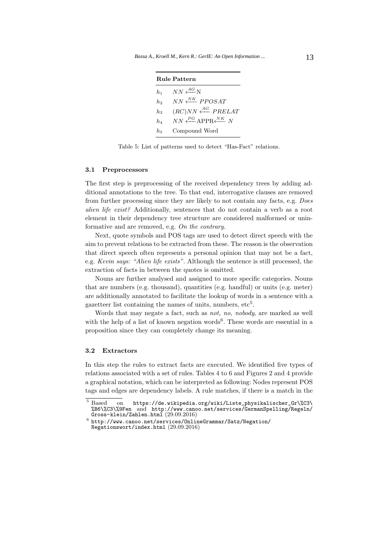| <b>Rule Pattern</b> |                                                                         |  |
|---------------------|-------------------------------------------------------------------------|--|
| $h_1$               | $NN \stackrel{AG}{\longleftarrow} N$                                    |  |
| h <sub>2</sub>      | $NN \stackrel{NK}{\longleftarrow} PPOSAT$                               |  |
| $h_{3}$             | $(RC)NN \stackrel{AG}{\longleftarrow} PRELAT$                           |  |
| $h_A$               | $NN \stackrel{PG}{\longleftarrow} APPR \stackrel{NK}{\longleftarrow} N$ |  |
| h.                  | Compound Word                                                           |  |

Table 5: List of patterns used to detect "Has-Fact" relations.

#### **3.1 Preprocessors**

The first step is preprocessing of the received dependency trees by adding additional annotations to the tree. To that end, interrogative clauses are removed from further processing since they are likely to not contain any facts, e.g. Does alien life exist? Additionally, sentences that do not contain a verb as a root element in their dependency tree structure are considered malformed or uninformative and are removed, e.g. On the contrary.

Next, quote symbols and POS tags are used to detect direct speech with the aim to prevent relations to be extracted from these. The reason is the observation that direct speech often represents a personal opinion that may not be a fact, e.g. Kevin says: "Alien life exists". Although the sentence is still processed, the extraction of facts in between the quotes is omitted.

Nouns are further analysed and assigned to more specific categories. Nouns that are numbers (e.g. thousand), quantities (e.g. handful) or units (e.g. meter) are additionally annotated to facilitate the lookup of words in a sentence with a gazetteer list containing the names of units, numbers,  $etc<sup>5</sup>$ .

Words that may negate a fact, such as not, no, nobody, are marked as well with the help of a list of known negation words<sup>6</sup>. These words are essential in a proposition since they can completely change its meaning.

# **3.2 Extractors**

In this step the rules to extract facts are executed. We identified five types of relations associated with a set of rules. Tables 4 to 6 and Figures 2 and 4 provide a graphical notation, which can be interpreted as following: Nodes represent POS tags and edges are dependency labels. A rule matches, if there is a match in the

 $\overline{5}$  Based on https://de.wikipedia.org/wiki/Liste\_physikalischer\_Gr\%C3\ %B6\%C3\%9Fen and http://www.canoo.net/services/GermanSpelling/Regeln/

 $6$  http://www.canoo.net/services/OnlineGrammar/Satz/Negation/ Negationswort/index.html (29.09.2016)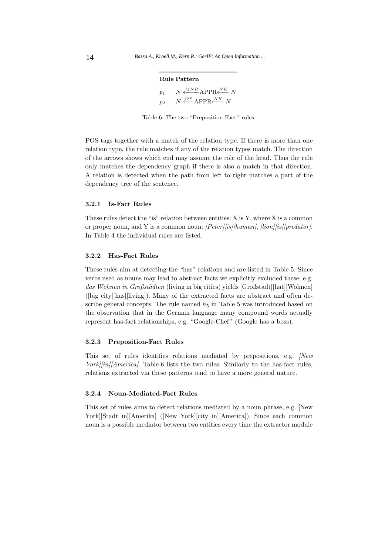|       | <b>Rule Pattern</b>                                                           |
|-------|-------------------------------------------------------------------------------|
| $p_1$ | $N \xleftarrow{MNR} \text{APPR} \xleftarrow{NK} N$                            |
| $p_2$ | $N \stackrel{OP}{\longleftarrow} \text{APPR} \stackrel{NK}{\longleftarrow} N$ |

Table 6: The two "Preposition-Fact" rules.

POS tags together with a match of the relation type. If there is more than one relation type, the rule matches if any of the relation types match. The direction of the arrows shows which end may assume the role of the head. Thus the rule only matches the dependency graph if there is also a match in that direction. A relation is detected when the path from left to right matches a part of the dependency tree of the sentence.

### **3.2.1 Is-Fact Rules**

These rules detect the "is" relation between entities: X is Y, where X is a common or proper noun, and Y is a common noun: [Peter][is][human], [lion][is][predator]. In Table 4 the individual rules are listed.

# **3.2.2 Has-Fact Rules**

These rules aim at detecting the "has" relations and are listed in Table 5. Since verbs used as nouns may lead to abstract facts we explicitly excluded these, e.g. das Wohnen in Großstädten (living in big cities) yields [Großstadt][hat][Wohnen] ([big city][has][living]). Many of the extracted facts are abstract and often describe general concepts. The rule named  $h_5$  in Table 5 was introduced based on the observation that in the German language many compound words actually represent has-fact relationships, e.g. "Google-Chef" (Google has a boss).

# **3.2.3 Preposition-Fact Rules**

This set of rules identifies relations mediated by prepositions, e.g. *[New* York][in][America]. Table 6 lists the two rules. Similarly to the has-fact rules, relations extracted via these patterns tend to have a more general nature.

# **3.2.4 Noun-Mediated-Fact Rules**

This set of rules aims to detect relations mediated by a noun phrase, e.g. [New York][Stadt in][Amerika] ([New York][city in][America]). Since each common noun is a possible mediator between two entities every time the extractor module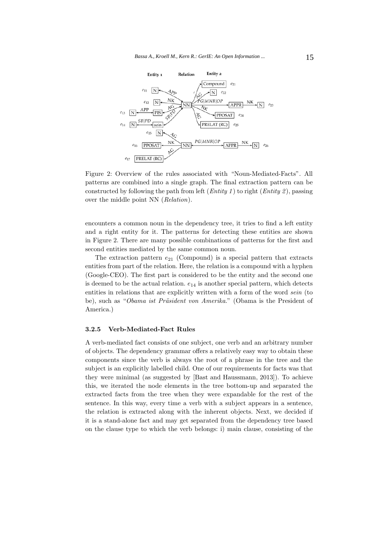

Figure 2: Overview of the rules associated with "Noun-Mediated-Facts". All patterns are combined into a single graph. The final extraction pattern can be constructed by following the path from left (*Entity 1*) to right (*Entity 2*), passing over the middle point NN (Relation).

encounters a common noun in the dependency tree, it tries to find a left entity and a right entity for it. The patterns for detecting these entities are shown in Figure 2. There are many possible combinations of patterns for the first and second entities mediated by the same common noun.

The extraction pattern  $e_{21}$  (Compound) is a special pattern that extracts entities from part of the relation. Here, the relation is a compound with a hyphen (Google-CEO). The first part is considered to be the entity and the second one is deemed to be the actual relation.  $e_{14}$  is another special pattern, which detects entities in relations that are explicitly written with a form of the word sein (to be), such as "Obama ist Präsident von Amerika." (Obama is the President of America.)

#### **3.2.5 Verb-Mediated-Fact Rules**

A verb-mediated fact consists of one subject, one verb and an arbitrary number of objects. The dependency grammar offers a relatively easy way to obtain these components since the verb is always the root of a phrase in the tree and the subject is an explicitly labelled child. One of our requirements for facts was that they were minimal (as suggested by [Bast and Haussmann, 2013]). To achieve this, we iterated the node elements in the tree bottom-up and separated the extracted facts from the tree when they were expandable for the rest of the sentence. In this way, every time a verb with a subject appears in a sentence, the relation is extracted along with the inherent objects. Next, we decided if it is a stand-alone fact and may get separated from the dependency tree based on the clause type to which the verb belongs: i) main clause, consisting of the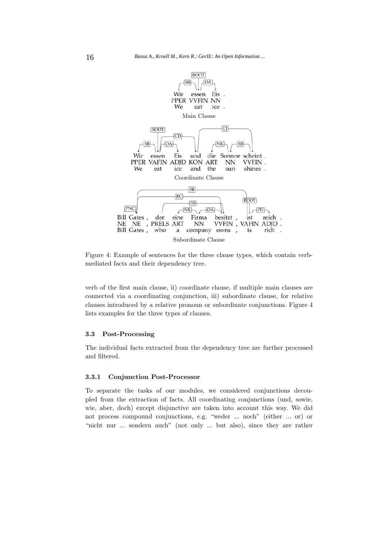

Figure 4: Example of sentences for the three clause types, which contain verbmediated facts and their dependency tree.

verb of the first main clause, ii) coordinate clause, if multiple main clauses are connected via a coordinating conjunction, iii) subordinate clause, for relative clauses introduced by a relative pronoun or subordinate conjunctions. Figure 4 lists examples for the three types of clauses.

#### **3.3 Post-Processing**

The individual facts extracted from the dependency tree are further processed and filtered.

#### **3.3.1 Conjunction Post-Processor**

To separate the tasks of our modules, we considered conjunctions decoupled from the extraction of facts. All coordinating conjunctions (und, sowie, wie, aber, doch) except disjunctive are taken into account this way. We did not process compound conjunctions, e.g. "weder ... noch" (either ... or) or "nicht nur ... sondern auch" (not only ... but also), since they are rather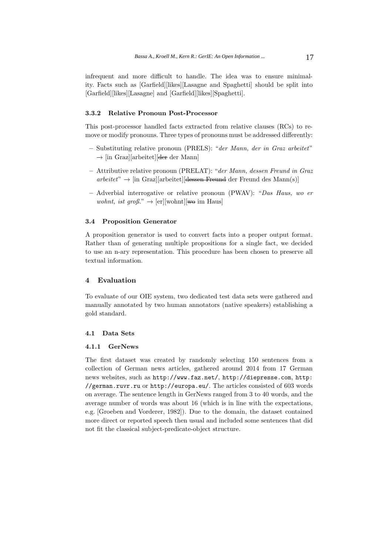infrequent and more difficult to handle. The idea was to ensure minimality. Facts such as [Garfield][likes][Lasagne and Spaghetti] should be split into [Garfield][likes][Lasagne] and [Garfield][likes][Spaghetti].

# **3.3.2 Relative Pronoun Post-Processor**

This post-processor handled facts extracted from relative clauses (RCs) to remove or modify pronouns. Three types of pronouns must be addressed differently:

- **–** Substituting relative pronoun (PRELS): "der Mann, der in Graz arbeitet" −→ [in Graz][arbeitet][der der Mann]
- **–** Attributive relative pronoun (PRELAT): "der Mann, dessen Freund in Graz arbeitet" →− [in Graz][arbeitet][dessen Freund der Freund des Mann(s)]
- **–** Adverbial interrogative or relative pronoun (PWAV): "Das Haus, wo er wohnt, ist groß."  $\rightarrow$  [er][wohnt][we im Haus]

# **3.4 Proposition Generator**

A proposition generator is used to convert facts into a proper output format. Rather than of generating multiple propositions for a single fact, we decided to use an n-ary representation. This procedure has been chosen to preserve all textual information.

#### **4 Evaluation**

To evaluate of our OIE system, two dedicated test data sets were gathered and manually annotated by two human annotators (native speakers) establishing a gold standard.

#### **4.1 Data Sets**

# **4.1.1 GerNews**

The first dataset was created by randomly selecting 150 sentences from a collection of German news articles, gathered around 2014 from 17 German news websites, such as http://www.faz.net/, http://diepresse.com, http: //german.ruvr.ru or http://europa.eu/. The articles consisted of 603 words on average. The sentence length in GerNews ranged from 3 to 40 words, and the average number of words was about 16 (which is in line with the expectations, e.g. [Groeben and Vorderer, 1982]). Due to the domain, the dataset contained more direct or reported speech then usual and included some sentences that did not fit the classical subject-predicate-object structure.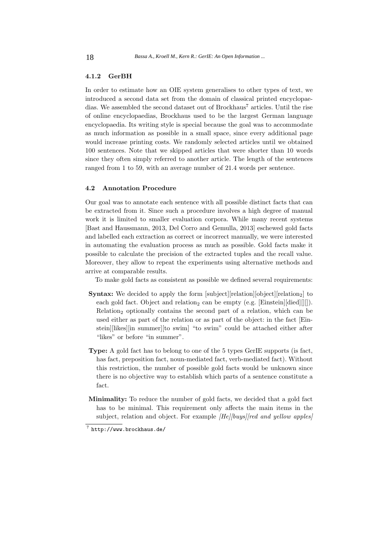# **4.1.2 GerBH**

In order to estimate how an OIE system generalises to other types of text, we introduced a second data set from the domain of classical printed encyclopaedias. We assembled the second dataset out of  $Brockhaus^7$  articles. Until the rise of online encyclopaedias, Brockhaus used to be the largest German language encyclopaedia. Its writing style is special because the goal was to accommodate as much information as possible in a small space, since every additional page would increase printing costs. We randomly selected articles until we obtained 100 sentences. Note that we skipped articles that were shorter than 10 words since they often simply referred to another article. The length of the sentences ranged from 1 to 59, with an average number of 21.4 words per sentence.

#### **4.2 Annotation Procedure**

Our goal was to annotate each sentence with all possible distinct facts that can be extracted from it. Since such a procedure involves a high degree of manual work it is limited to smaller evaluation corpora. While many recent systems [Bast and Haussmann, 2013, Del Corro and Gemulla, 2013] eschewed gold facts and labelled each extraction as correct or incorrect manually, we were interested in automating the evaluation process as much as possible. Gold facts make it possible to calculate the precision of the extracted tuples and the recall value. Moreover, they allow to repeat the experiments using alternative methods and arrive at comparable results.

To make gold facts as consistent as possible we defined several requirements:

- **Syntax:** We decided to apply the form [subject][relation][object][relation<sub>2</sub>] to each gold fact. Object and relation<sub>2</sub> can be empty (e.g. [Einstein][died][][]). Relation<sub>2</sub> optionally contains the second part of a relation, which can be used either as part of the relation or as part of the object: in the fact [Einstein][likes][in summer][to swim] "to swim" could be attached either after "likes" or before "in summer".
- **Type:** A gold fact has to belong to one of the 5 types GerIE supports (is fact, has fact, preposition fact, noun-mediated fact, verb-mediated fact). Without this restriction, the number of possible gold facts would be unknown since there is no objective way to establish which parts of a sentence constitute a fact.
- **Minimality:** To reduce the number of gold facts, we decided that a gold fact has to be minimal. This requirement only affects the main items in the subject, relation and object. For example *[He][buys][red and yellow apples]*

<sup>7</sup> http://www.brockhaus.de/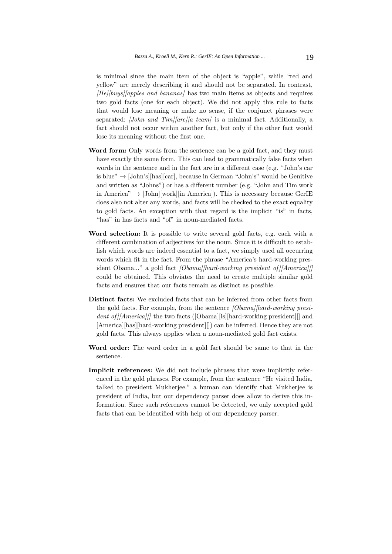is minimal since the main item of the object is "apple", while "red and yellow" are merely describing it and should not be separated. In contrast,  $[He][buys][apples and bananas]$  has two main items as objects and requires two gold facts (one for each object). We did not apply this rule to facts that would lose meaning or make no sense, if the conjunct phrases were separated: *[John and Tim][are][a team]* is a minimal fact. Additionally, a fact should not occur within another fact, but only if the other fact would lose its meaning without the first one.

- **Word form:** Only words from the sentence can be a gold fact, and they must have exactly the same form. This can lead to grammatically false facts when words in the sentence and in the fact are in a different case (e.g. "John's car is blue"  $\rightarrow$  [John's][has][car], because in German "John's" would be Genitive and written as "Johns") or has a different number (e.g. "John and Tim work in America"  $\rightarrow$  [John][work][in America]). This is necessary because GerIE does also not alter any words, and facts will be checked to the exact equality to gold facts. An exception with that regard is the implicit "is" in facts, "has" in has facts and "of" in noun-mediated facts.
- **Word selection:** It is possible to write several gold facts, e.g. each with a different combination of adjectives for the noun. Since it is difficult to establish which words are indeed essential to a fact, we simply used all occurring words which fit in the fact. From the phrase "America's hard-working president Obama..." a gold fact *[Obama][hard-working president of*]*[America][]* could be obtained. This obviates the need to create multiple similar gold facts and ensures that our facts remain as distinct as possible.
- **Distinct facts:** We excluded facts that can be inferred from other facts from the gold facts. For example, from the sentence *[Obama][hard-working presi*dent of  $||$ America $||$  the two facts ([Obama][is][hard-working president]] and [America][has][hard-working president][]) can be inferred. Hence they are not gold facts. This always applies when a noun-mediated gold fact exists.
- **Word order:** The word order in a gold fact should be same to that in the sentence.
- **Implicit references:** We did not include phrases that were implicitly referenced in the gold phrases. For example, from the sentence "He visited India, talked to president Mukherjee." a human can identify that Mukherjee is president of India, but our dependency parser does allow to derive this information. Since such references cannot be detected, we only accepted gold facts that can be identified with help of our dependency parser.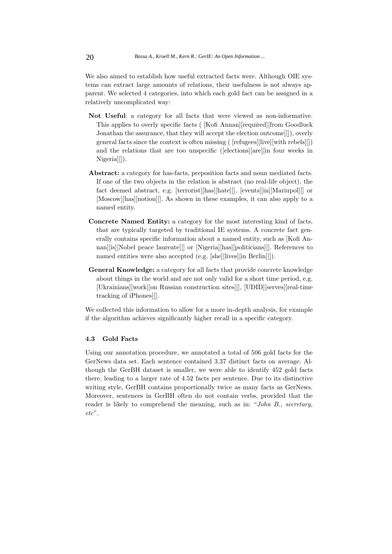We also aimed to establish how useful extracted facts were. Although OIE systems can extract large amounts of relations, their usefulness is not always apparent. We selected 4 categories, into which each gold fact can be assigned in a relatively uncomplicated way:

- **Not Useful**: a category for all facts that were viewed as non-informative. This applies to overly specific facts ( [Kofi Annan][required][from Goodluck Jonathan the assurance, that they will accept the election outcome][]), overly general facts since the context is often missing ( [refugees][live][with rebels][]) and the relations that are too unspecific ([elections][are][in four weeks in Nigeria][]).
- **Abstract:** a category for has-facts, preposition facts and noun mediated facts. If one of the two objects in the relation is abstract (no real-life object), the fact deemed abstract, e.g. [terrorist][has][hate][], [events][in][Mariupol][] or [Moscow][has][notion][]. As shown in these examples, it can also apply to a named entity.
- **Concrete Named Entity:** a category for the most interesting kind of facts, that are typically targeted by traditional IE systems. A concrete fact generally contains specific information about a named entity, such as [Kofi Annan][is][Nobel peace laureate][] or [Nigeria][has][politicians][]. References to named entities were also accepted (e.g. [she][lives][in Berlin][]).
- **General Knowledge:** a category for all facts that provide concrete knowledge about things in the world and are not only valid for a short time period, e.g. [Ukrainians][work][on Russian construction sites][], [UDID][serves][real-time tracking of iPhones][].

We collected this information to allow for a more in-depth analysis, for example if the algorithm achieves significantly higher recall in a specific category.

#### **4.3 Gold Facts**

Using our annotation procedure, we annotated a total of 506 gold facts for the GerNews data set. Each sentence contained 3.37 distinct facts on average. Although the GerBH dataset is smaller, we were able to identify 452 gold facts there, leading to a larger rate of 4.52 facts per sentence. Due to its distinctive writing style, GerBH contains proportionally twice as many facts as GerNews. Moreover, sentences in GerBH often do not contain verbs, provided that the reader is likely to comprehend the meaning, such as in: "John B., secretary,  $etc$ ".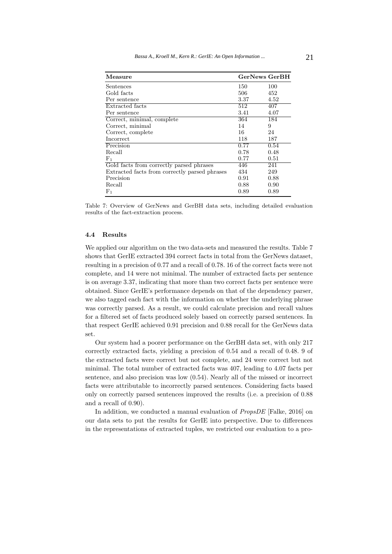| Measure                                       | <b>GerNews GerBH</b> |      |
|-----------------------------------------------|----------------------|------|
| Sentences                                     | 150                  | 100  |
| Gold facts                                    | 506                  | 452  |
| Per sentence                                  | 3.37                 | 4.52 |
| Extracted facts                               | 512                  | 407  |
| Per sentence                                  | 3.41                 | 4.07 |
| Correct, minimal, complete                    | 364                  | 184  |
| Correct, minimal                              | 14                   | 9    |
| Correct, complete                             | 16                   | 24   |
| Incorrect                                     | 118                  | 187  |
| Precision                                     | 0.77                 | 0.54 |
| Recall                                        | 0.78                 | 0.48 |
| ${\rm F}_1$                                   | 0.77                 | 0.51 |
| Gold facts from correctly parsed phrases      | 446                  | 241  |
| Extracted facts from correctly parsed phrases | 434                  | 249  |
| Precision                                     | 0.91                 | 0.88 |
| Recall                                        | 0.88                 | 0.90 |
| $F_1$                                         | 0.89                 | 0.89 |

Table 7: Overview of GerNews and GerBH data sets, including detailed evaluation results of the fact-extraction process.

# **4.4 Results**

We applied our algorithm on the two data-sets and measured the results. Table 7 shows that GerIE extracted 394 correct facts in total from the GerNews dataset, resulting in a precision of 0.77 and a recall of 0.78. 16 of the correct facts were not complete, and 14 were not minimal. The number of extracted facts per sentence is on average 3.37, indicating that more than two correct facts per sentence were obtained. Since GerIE's performance depends on that of the dependency parser, we also tagged each fact with the information on whether the underlying phrase was correctly parsed. As a result, we could calculate precision and recall values for a filtered set of facts produced solely based on correctly parsed sentences. In that respect GerIE achieved 0.91 precision and 0.88 recall for the GerNews data set.

Our system had a poorer performance on the GerBH data set, with only 217 correctly extracted facts, yielding a precision of 0.54 and a recall of 0.48. 9 of the extracted facts were correct but not complete, and 24 were correct but not minimal. The total number of extracted facts was 407, leading to 4.07 facts per sentence, and also precision was low (0.54). Nearly all of the missed or incorrect facts were attributable to incorrectly parsed sentences. Considering facts based only on correctly parsed sentences improved the results (i.e. a precision of 0.88 and a recall of 0.90).

In addition, we conducted a manual evaluation of PropsDE [Falke, 2016] on our data sets to put the results for GerIE into perspective. Due to differences in the representations of extracted tuples, we restricted our evaluation to a pro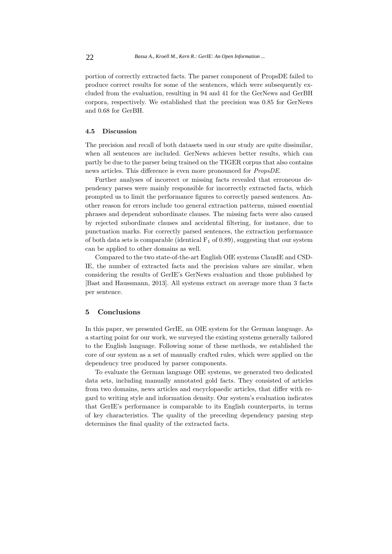portion of correctly extracted facts. The parser component of PropsDE failed to produce correct results for some of the sentences, which were subsequently excluded from the evaluation, resulting in 94 and 41 for the GerNews and GerBH corpora, respectively. We established that the precision was 0.85 for GerNews and 0.68 for GerBH.

# **4.5 Discussion**

The precision and recall of both datasets used in our study are quite dissimilar, when all sentences are included. GerNews achieves better results, which can partly be due to the parser being trained on the TIGER corpus that also contains news articles. This difference is even more pronounced for PropsDE.

Further analyses of incorrect or missing facts revealed that erroneous dependency parses were mainly responsible for incorrectly extracted facts, which prompted us to limit the performance figures to correctly parsed sentences. Another reason for errors include too general extraction patterns, missed essential phrases and dependent subordinate clauses. The missing facts were also caused by rejected subordinate clauses and accidental filtering, for instance, due to punctuation marks. For correctly parsed sentences, the extraction performance of both data sets is comparable (identical  $F_1$  of 0.89), suggesting that our system can be applied to other domains as well.

Compared to the two state-of-the-art English OIE systems ClausIE and CSD-IE, the number of extracted facts and the precision values are similar, when considering the results of GerIE's GerNews evaluation and those published by [Bast and Haussmann, 2013]. All systems extract on average more than 3 facts per sentence.

#### **5 Conclusions**

In this paper, we presented GerIE, an OIE system for the German language. As a starting point for our work, we surveyed the existing systems generally tailored to the English language. Following some of these methods, we established the core of our system as a set of manually crafted rules, which were applied on the dependency tree produced by parser components.

To evaluate the German language OIE systems, we generated two dedicated data sets, including manually annotated gold facts. They consisted of articles from two domains, news articles and encyclopaedic articles, that differ with regard to writing style and information density. Our system's evaluation indicates that GerIE's performance is comparable to its English counterparts, in terms of key characteristics. The quality of the preceding dependency parsing step determines the final quality of the extracted facts.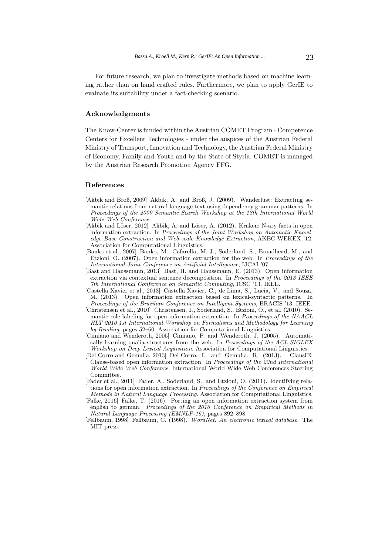For future research, we plan to investigate methods based on machine learning rather than on hand crafted rules. Furthermore, we plan to apply GerIE to evaluate its suitability under a fact-checking scenario.

# **Acknowledgments**

The Know-Center is funded within the Austrian COMET Program - Competence Centers for Excellent Technologies - under the auspices of the Austrian Federal Ministry of Transport, Innovation and Technology, the Austrian Federal Ministry of Economy, Family and Youth and by the State of Styria. COMET is managed by the Austrian Research Promotion Agency FFG.

# **References**

- [Akbik and Broß, 2009] Akbik, A. and Broß, J. (2009). Wanderlust: Extracting semantic relations from natural language text using dependency grammar patterns. In Proceedings of the 2009 Semantic Search Workshop at the 18th International World Wide Web Conference.
- [Akbik and Löser, 2012] Akbik, A. and Löser, A. (2012). Kraken: N-ary facts in open information extraction. In Proceedings of the Joint Workshop on Automatic Knowledge Base Construction and Web-scale Knowledge Extraction, AKBC-WEKEX '12. Association for Computational Linguistics.
- [Banko et al., 2007] Banko, M., Cafarella, M. J., Soderland, S., Broadhead, M., and Etzioni, O. (2007). Open information extraction for the web. In Proceedings of the International Joint Conference on Artificial Intelligence, IJCAI '07.
- [Bast and Haussmann, 2013] Bast, H. and Haussmann, E. (2013). Open information extraction via contextual sentence decomposition. In Proceedings of the 2013 IEEE 7th International Conference on Semantic Computing, ICSC '13. IEEE.
- [Castella Xavier et al., 2013] Castella Xavier, C., de Lima, S., Lucia, V., and Souza, M. (2013). Open information extraction based on lexical-syntactic patterns. In Proceedings of the Brazilian Conference on Intelligent Systems, BRACIS '13. IEEE.
- [Christensen et al., 2010] Christensen, J., Soderland, S., Etzioni, O., et al. (2010). Semantic role labeling for open information extraction. In Proceedings of the NAACL HLT 2010 1st International Workshop on Formalisms and Methodology for Learning by Reading, pages 52–60. Association for Computational Linguistics.
- [Cimiano and Wenderoth, 2005] Cimiano, P. and Wenderoth, J. (2005). Automatically learning qualia structures from the web. In Proceedings of the ACL-SIGLEX Workshop on Deep Lexical Acquisition. Association for Computational Linguistics.
- [Del Corro and Gemulla, 2013] Del Corro, L. and Gemulla, R. (2013). ClausIE: Clause-based open information extraction. In Proceedings of the 22nd International World Wide Web Conference. International World Wide Web Conferences Steering Committee.
- [Fader et al., 2011] Fader, A., Soderland, S., and Etzioni, O. (2011). Identifying relations for open information extraction. In Proceedings of the Conference on Empirical Methods in Natural Language Processing. Association for Computational Linguistics.
- [Falke, 2016] Falke, T. (2016). Porting an open information extraction system from english to german. Proceedings of the 2016 Conference on Empirical Methods in Natural Language Processing (EMNLP-16), pages 892–898.
- [Fellbaum, 1998] Fellbaum, C. (1998). WordNet: An electronic lexical database. The MIT press.